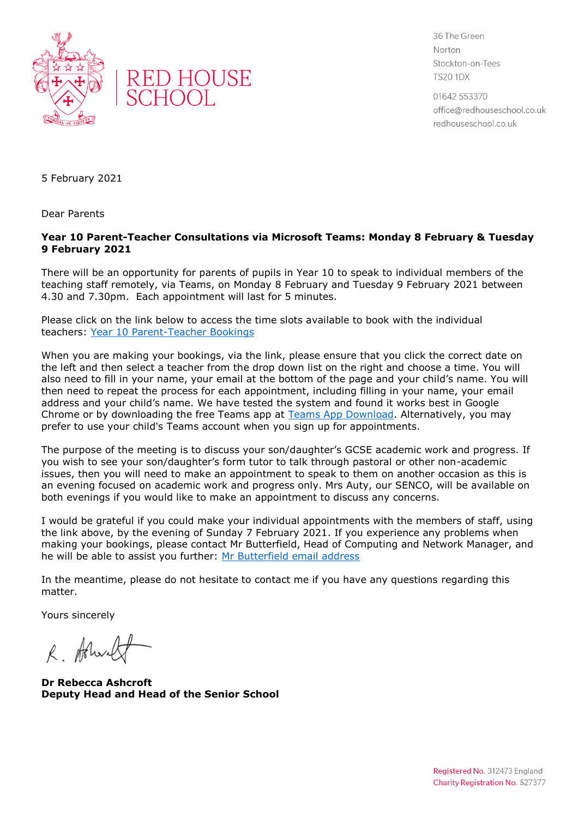



36 The Green Norton Stockton-on-Tees **TS20 1DX** 

01642 553370 office@redhouseschool.co.uk redhouseschool.co.uk

5 February 2021

Dear Parents

## **Year 10 Parent-Teacher Consultations via Microsoft Teams: Monday 8 February & Tuesday 9 February 2021**

There will be an opportunity for parents of pupils in Year 10 to speak to individual members of the teaching staff remotely, via Teams, on Monday 8 February and Tuesday 9 February 2021 between 4.30 and 7.30pm. Each appointment will last for 5 minutes.

Please click on the link below to access the time slots available to book with the individual teachers: [Year 10 Parent-Teacher Bookings](https://outlook.office365.com/owa/calendar/RedHouseSchool@redhouseschool.co.uk/bookings/)

When you are making your bookings, via the link, please ensure that you click the correct date on the left and then select a teacher from the drop down list on the right and choose a time. You will also need to fill in your name, your email at the bottom of the page and your child's name. You will then need to repeat the process for each appointment, including filling in your name, your email address and your child's name. We have tested the system and found it works best in Google Chrome or by downloading the free Teams app at [Teams App Download.](https://www.microsoft.com/en-gb/microsoft-365/microsoft-teams/download-app) Alternatively, you may prefer to use your child's Teams account when you sign up for appointments.

The purpose of the meeting is to discuss your son/daughter's GCSE academic work and progress. If you wish to see your son/daughter's form tutor to talk through pastoral or other non-academic issues, then you will need to make an appointment to speak to them on another occasion as this is an evening focused on academic work and progress only. Mrs Auty, our SENCO, will be available on both evenings if you would like to make an appointment to discuss any concerns.

I would be grateful if you could make your individual appointments with the members of staff, using the link above, by the evening of Sunday 7 February 2021. If you experience any problems when making your bookings, please contact Mr Butterfield, Head of Computing and Network Manager, and he will be able to assist you further: [Mr Butterfield email address](file:///C:/Users/ashcroft/AppData/Local/Temp/Temp1_TEMPLATES%20AND%20LETTERS.zip/graeme.butterfield@redhouseschool.co.uk)

In the meantime, please do not hesitate to contact me if you have any questions regarding this matter.

Yours sincerely

R. Arlundt

**Dr Rebecca Ashcroft Deputy Head and Head of the Senior School**